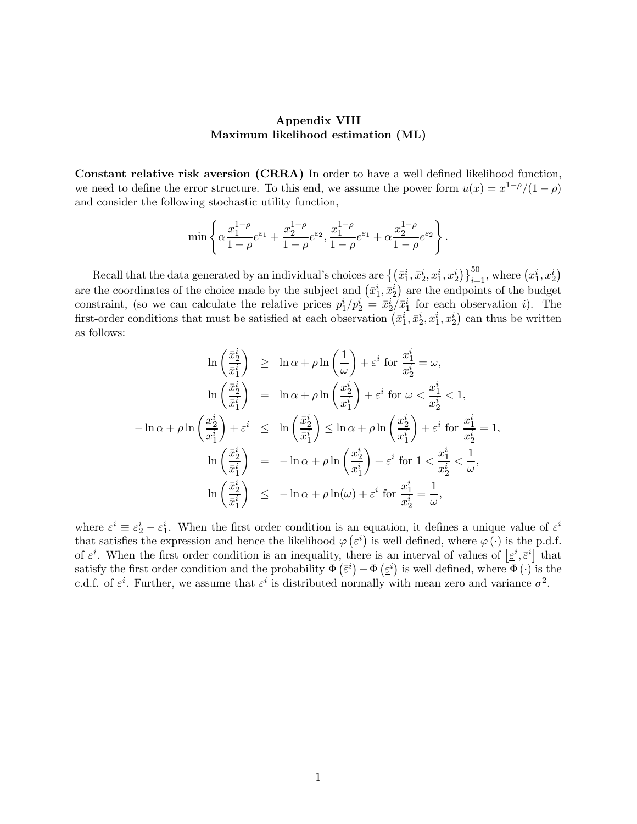## Appendix VIII Maximum likelihood estimation (ML)

Constant relative risk aversion (CRRA) In order to have a well defined likelihood function, we need to define the error structure. To this end, we assume the power form  $u(x) = x^{1-\rho}/(1-\rho)$ and consider the following stochastic utility function,

$$
\min\left\{\alpha \frac{x_1^{1-\rho}}{1-\rho}e^{\varepsilon_1}+\frac{x_2^{1-\rho}}{1-\rho}e^{\varepsilon_2}, \frac{x_1^{1-\rho}}{1-\rho}e^{\varepsilon_1}+\alpha \frac{x_2^{1-\rho}}{1-\rho}e^{\varepsilon_2}\right\}.
$$

Recall that the data generated by an individual's choices are  $\{(\bar{x}_1^i, \bar{x}_2^i, x_1^i, x_2^i)\}_{i=1}^{50}$ , where  $(x_1^i, x_2^i)$ are the coordinates of the choice made by the subject and  $(\bar{x}_1^i, \bar{x}_2^i)$  are the endpoints of the budget constraint, (so we can calculate the relative prices  $p_1^i/p_2^i = \bar{x}_2^i/\bar{x}_1^i$  for each observation *i*). The first-order conditions that must be satisfied at each observation  $(\bar{x}_1^i, \bar{x}_2^i, x_1^i, x_2^i)$  can thus be written as follows:

$$
\ln\left(\frac{\bar{x}_2^i}{\bar{x}_1^i}\right) \geq \ln \alpha + \rho \ln\left(\frac{1}{\omega}\right) + \varepsilon^i \text{ for } \frac{x_1^i}{x_2^i} = \omega,
$$
  

$$
\ln\left(\frac{\bar{x}_2^i}{\bar{x}_1^i}\right) = \ln \alpha + \rho \ln\left(\frac{x_2^i}{x_1^i}\right) + \varepsilon^i \text{ for } \omega < \frac{x_1^i}{x_2^i} < 1,
$$
  

$$
-\ln \alpha + \rho \ln\left(\frac{x_2^i}{x_1^i}\right) + \varepsilon^i \leq \ln\left(\frac{\bar{x}_2^i}{\bar{x}_1^i}\right) \leq \ln \alpha + \rho \ln\left(\frac{x_2^i}{x_1^i}\right) + \varepsilon^i \text{ for } \frac{x_1^i}{x_2^i} = 1,
$$
  

$$
\ln\left(\frac{\bar{x}_2^i}{\bar{x}_1^i}\right) = -\ln \alpha + \rho \ln\left(\frac{x_2^i}{x_1^i}\right) + \varepsilon^i \text{ for } 1 < \frac{x_1^i}{x_2^i} < \frac{1}{\omega},
$$
  

$$
\ln\left(\frac{\bar{x}_2^i}{\bar{x}_1^i}\right) \leq -\ln \alpha + \rho \ln(\omega) + \varepsilon^i \text{ for } \frac{x_1^i}{x_2^i} = \frac{1}{\omega},
$$

where  $\varepsilon^{i} \equiv \varepsilon_{2}^{i} - \varepsilon_{1}^{i}$ . When the first order condition is an equation, it defines a unique value of  $\varepsilon^{i}$ that satisfies the expression and hence the likelihood  $\varphi(\varepsilon^i)$  is well defined, where  $\varphi(\cdot)$  is the p.d.f. of  $\varepsilon^i$ . When the first order condition is an inequality, there is an interval of values of  $[\varepsilon^i, \overline{\varepsilon}^i]$  that satisfy the first order condition and the probability  $\Phi\left(\bar{\varepsilon}^i\right) - \Phi\left(\underline{\varepsilon}^i\right)$  is well defined, where  $\Phi\left(\cdot\right)$  is the c.d.f. of  $\varepsilon^i$ . Further, we assume that  $\varepsilon^i$  is distributed normally with mean zero and variance  $\sigma^2$ .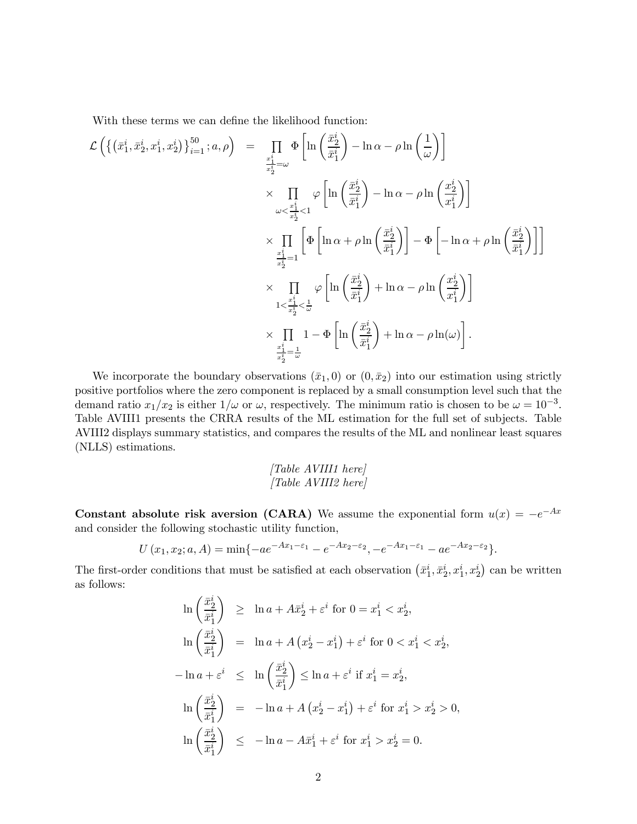With these terms we can define the likelihood function:

$$
\mathcal{L}\left(\left\{(\bar{x}_1^i, \bar{x}_2^i, x_1^i, x_2^i)\right\}_{i=1}^{50}; a, \rho\right) = \prod_{\substack{\bar{x}_1^i = \bar{\omega} \\ \bar{x}_2^i = \omega}} \Phi\left[\ln\left(\frac{\bar{x}_2^i}{\bar{x}_1^i}\right) - \ln \alpha - \rho \ln\left(\frac{1}{\omega}\right)\right] \times \prod_{\substack{\omega < \frac{\bar{x}_1^i}{\bar{x}_2^i} < 1}} \varphi\left[\ln\left(\frac{\bar{x}_2^i}{\bar{x}_1^i}\right) - \ln \alpha - \rho \ln\left(\frac{x_2^i}{x_1^i}\right)\right] \times \prod_{\substack{\frac{\bar{x}_1^i}{\bar{x}_2^i} = 1}} \left[\Phi\left[\ln \alpha + \rho \ln\left(\frac{\bar{x}_2^i}{\bar{x}_1^i}\right)\right] - \Phi\left[-\ln \alpha + \rho \ln\left(\frac{\bar{x}_2^i}{\bar{x}_1^i}\right)\right]\right] \times \prod_{\substack{1 < \frac{\bar{x}_1^i}{\bar{x}_2^i} < \frac{1}{\bar{\omega}}}} \varphi\left[\ln\left(\frac{\bar{x}_2^i}{\bar{x}_1^i}\right) + \ln \alpha - \rho \ln\left(\frac{x_2^i}{\bar{x}_1^i}\right)\right] \times \prod_{\substack{\frac{\bar{x}_1^i}{\bar{x}_2^i} = \frac{1}{\bar{\omega}}}} 1 - \Phi\left[\ln\left(\frac{\bar{x}_2^i}{\bar{x}_1^i}\right) + \ln \alpha - \rho \ln(\omega)\right].
$$

We incorporate the boundary observations  $(\bar{x}_1, 0)$  or  $(0, \bar{x}_2)$  into our estimation using strictly positive portfolios where the zero component is replaced by a small consumption level such that the demand ratio  $x_1/x_2$  is either  $1/\omega$  or  $\omega$ , respectively. The minimum ratio is chosen to be  $\omega = 10^{-3}$ . Table AVIII1 presents the CRRA results of the ML estimation for the full set of subjects. Table AVIII2 displays summary statistics, and compares the results of the ML and nonlinear least squares (NLLS) estimations.

[Table AVIII1 here] [Table AVIII2 here]

Constant absolute risk aversion (CARA) We assume the exponential form  $u(x) = -e^{-Ax}$ and consider the following stochastic utility function,

$$
U(x_1, x_2; a, A) = \min\{-ae^{-Ax_1-\varepsilon_1}-e^{-Ax_2-\varepsilon_2}, -e^{-Ax_1-\varepsilon_1}-ae^{-Ax_2-\varepsilon_2}\}.
$$

The first-order conditions that must be satisfied at each observation  $(\bar{x}_1^i, \bar{x}_2^i, x_1^i, x_2^i)$  can be written as follows:

$$
\ln\left(\frac{\bar{x}_2^i}{\bar{x}_1^i}\right) \ge \ln a + A\bar{x}_2^i + \varepsilon^i \text{ for } 0 = x_1^i < x_2^i,
$$
\n
$$
\ln\left(\frac{\bar{x}_2^i}{\bar{x}_1^i}\right) = \ln a + A\left(x_2^i - x_1^i\right) + \varepsilon^i \text{ for } 0 < x_1^i < x_2^i,
$$
\n
$$
-\ln a + \varepsilon^i \le \ln\left(\frac{\bar{x}_2^i}{\bar{x}_1^i}\right) \le \ln a + \varepsilon^i \text{ if } x_1^i = x_2^i,
$$
\n
$$
\ln\left(\frac{\bar{x}_2^i}{\bar{x}_1^i}\right) = -\ln a + A\left(x_2^i - x_1^i\right) + \varepsilon^i \text{ for } x_1^i > x_2^i > 0,
$$
\n
$$
\ln\left(\frac{\bar{x}_2^i}{\bar{x}_1^i}\right) \le -\ln a - A\bar{x}_1^i + \varepsilon^i \text{ for } x_1^i > x_2^i = 0.
$$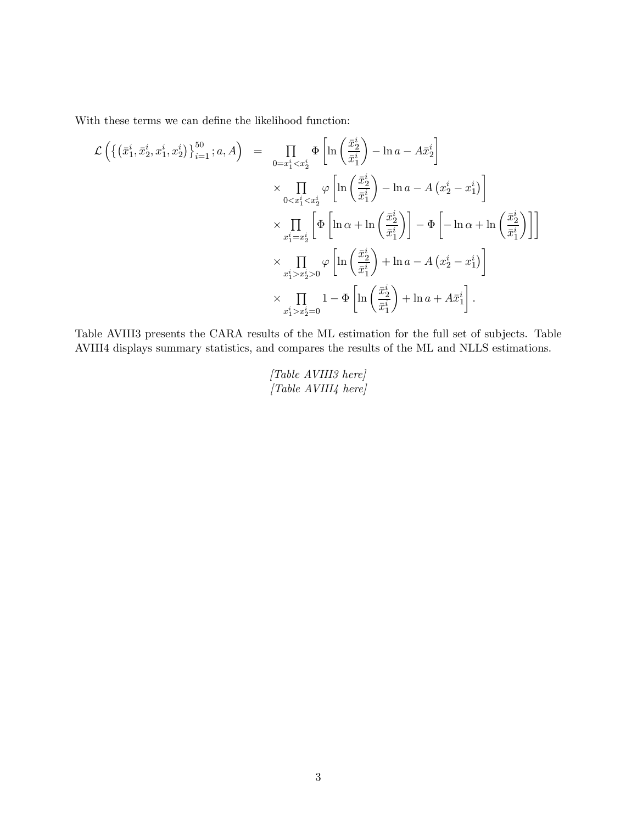With these terms we can define the likelihood function:

$$
\mathcal{L}\left(\left\{(\bar{x}_1^i, \bar{x}_2^i, x_1^i, x_2^i)\right\}_{i=1}^{50}; a, A\right) = \prod_{0=x_1^i < x_2^i} \Phi\left[\ln\left(\frac{\bar{x}_2^i}{\bar{x}_1^i}\right) - \ln a - A\bar{x}_2^i\right] \\
\times \prod_{0 < x_1^i < x_2^i} \varphi\left[\ln\left(\frac{\bar{x}_2^i}{\bar{x}_1^i}\right) - \ln a - A\left(x_2^i - x_1^i\right)\right] \\
\times \prod_{x_1^i = x_2^i} \left[\Phi\left[\ln \alpha + \ln\left(\frac{\bar{x}_2^i}{\bar{x}_1^i}\right)\right] - \Phi\left[-\ln \alpha + \ln\left(\frac{\bar{x}_2^i}{\bar{x}_1^i}\right)\right]\right] \\
\times \prod_{x_1^i > x_2^i > 0} \varphi\left[\ln\left(\frac{\bar{x}_2^i}{\bar{x}_1^i}\right) + \ln a - A\left(x_2^i - x_1^i\right)\right] \\
\times \prod_{x_1^i > x_2^i > 0} 1 - \Phi\left[\ln\left(\frac{\bar{x}_2^i}{\bar{x}_1^i}\right) + \ln a + A\bar{x}_1^i\right].
$$

∙

Table AVIII3 presents the CARA results of the ML estimation for the full set of subjects. Table AVIII4 displays summary statistics, and compares the results of the ML and NLLS estimations.

> [Table AVIII3 here] [Table AVIII4 here]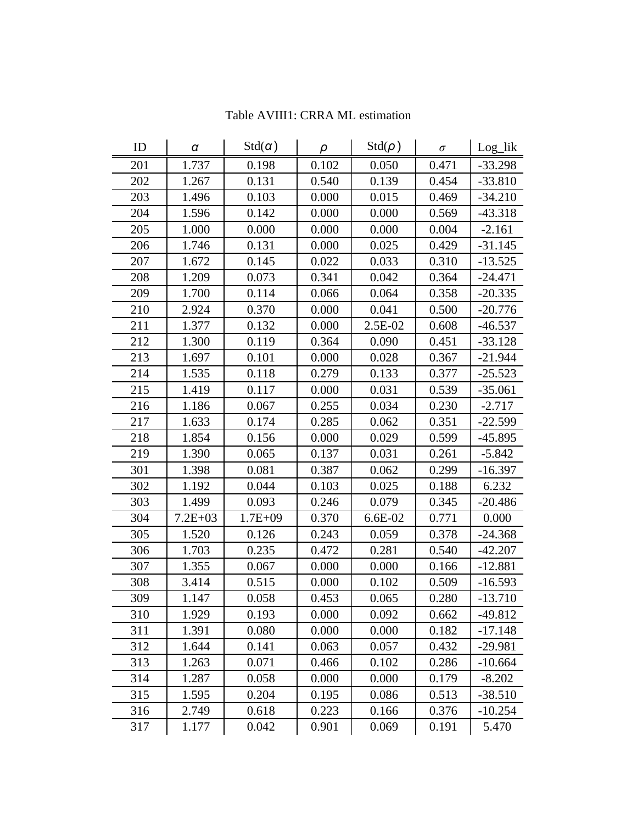| ID  | $\pmb{\alpha}$ | $Std(\alpha)$ | ρ     | $Std(\rho)$ | $\sigma$ | Log_lik   |
|-----|----------------|---------------|-------|-------------|----------|-----------|
| 201 | 1.737          | 0.198         | 0.102 | 0.050       | 0.471    | $-33.298$ |
| 202 | 1.267          | 0.131         | 0.540 | 0.139       | 0.454    | $-33.810$ |
| 203 | 1.496          | 0.103         | 0.000 | 0.015       | 0.469    | $-34.210$ |
| 204 | 1.596          | 0.142         | 0.000 | 0.000       | 0.569    | $-43.318$ |
| 205 | 1.000          | 0.000         | 0.000 | 0.000       | 0.004    | $-2.161$  |
| 206 | 1.746          | 0.131         | 0.000 | 0.025       | 0.429    | $-31.145$ |
| 207 | 1.672          | 0.145         | 0.022 | 0.033       | 0.310    | $-13.525$ |
| 208 | 1.209          | 0.073         | 0.341 | 0.042       | 0.364    | $-24.471$ |
| 209 | 1.700          | 0.114         | 0.066 | 0.064       | 0.358    | $-20.335$ |
| 210 | 2.924          | 0.370         | 0.000 | 0.041       | 0.500    | $-20.776$ |
| 211 | 1.377          | 0.132         | 0.000 | 2.5E-02     | 0.608    | $-46.537$ |
| 212 | 1.300          | 0.119         | 0.364 | 0.090       | 0.451    | $-33.128$ |
| 213 | 1.697          | 0.101         | 0.000 | 0.028       | 0.367    | $-21.944$ |
| 214 | 1.535          | 0.118         | 0.279 | 0.133       | 0.377    | $-25.523$ |
| 215 | 1.419          | 0.117         | 0.000 | 0.031       | 0.539    | $-35.061$ |
| 216 | 1.186          | 0.067         | 0.255 | 0.034       | 0.230    | $-2.717$  |
| 217 | 1.633          | 0.174         | 0.285 | 0.062       | 0.351    | $-22.599$ |
| 218 | 1.854          | 0.156         | 0.000 | 0.029       | 0.599    | $-45.895$ |
| 219 | 1.390          | 0.065         | 0.137 | 0.031       | 0.261    | $-5.842$  |
| 301 | 1.398          | 0.081         | 0.387 | 0.062       | 0.299    | $-16.397$ |
| 302 | 1.192          | 0.044         | 0.103 | 0.025       | 0.188    | 6.232     |
| 303 | 1.499          | 0.093         | 0.246 | 0.079       | 0.345    | $-20.486$ |
| 304 | $7.2E + 03$    | $1.7E + 09$   | 0.370 | $6.6E-02$   | 0.771    | 0.000     |
| 305 | 1.520          | 0.126         | 0.243 | 0.059       | 0.378    | $-24.368$ |
| 306 | 1.703          | 0.235         | 0.472 | 0.281       | 0.540    | $-42.207$ |
| 307 | 1.355          | 0.067         | 0.000 | 0.000       | 0.166    | $-12.881$ |
| 308 | 3.414          | 0.515         | 0.000 | 0.102       | 0.509    | $-16.593$ |
| 309 | 1.147          | 0.058         | 0.453 | 0.065       | 0.280    | $-13.710$ |
| 310 | 1.929          | 0.193         | 0.000 | 0.092       | 0.662    | $-49.812$ |
| 311 | 1.391          | 0.080         | 0.000 | 0.000       | 0.182    | $-17.148$ |
| 312 | 1.644          | 0.141         | 0.063 | 0.057       | 0.432    | $-29.981$ |
| 313 | 1.263          | 0.071         | 0.466 | 0.102       | 0.286    | $-10.664$ |
| 314 | 1.287          | 0.058         | 0.000 | 0.000       | 0.179    | $-8.202$  |
| 315 | 1.595          | 0.204         | 0.195 | 0.086       | 0.513    | $-38.510$ |
| 316 | 2.749          | 0.618         | 0.223 | 0.166       | 0.376    | $-10.254$ |
| 317 | 1.177          | 0.042         | 0.901 | 0.069       | 0.191    | 5.470     |

Table AVIII1: CRRA ML estimation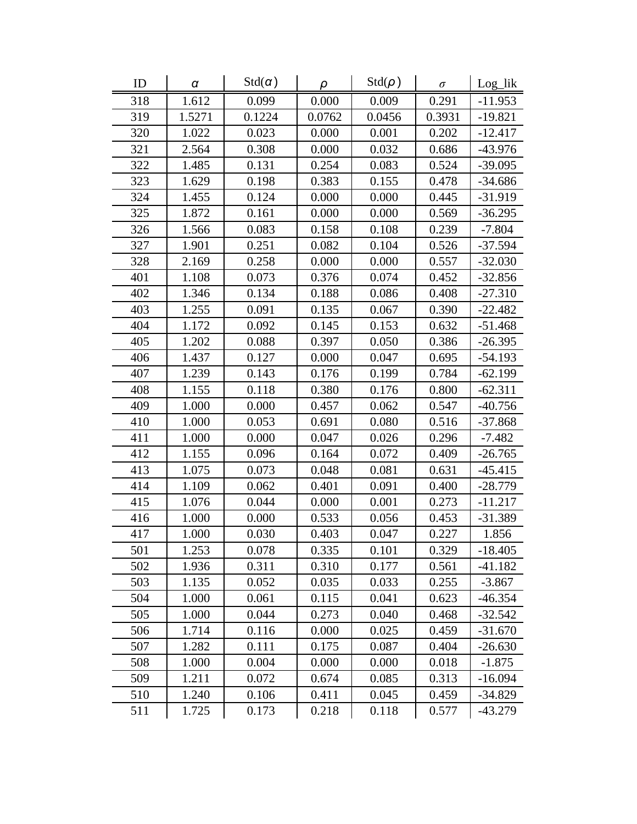| ID  | α      | $Std(\alpha)$ | ρ      | $Std(\rho)$ | $\sigma$ | Log_lik   |
|-----|--------|---------------|--------|-------------|----------|-----------|
| 318 | 1.612  | 0.099         | 0.000  | 0.009       | 0.291    | $-11.953$ |
| 319 | 1.5271 | 0.1224        | 0.0762 | 0.0456      | 0.3931   | $-19.821$ |
| 320 | 1.022  | 0.023         | 0.000  | 0.001       | 0.202    | $-12.417$ |
| 321 | 2.564  | 0.308         | 0.000  | 0.032       | 0.686    | $-43.976$ |
| 322 | 1.485  | 0.131         | 0.254  | 0.083       | 0.524    | $-39.095$ |
| 323 | 1.629  | 0.198         | 0.383  | 0.155       | 0.478    | $-34.686$ |
| 324 | 1.455  | 0.124         | 0.000  | 0.000       | 0.445    | $-31.919$ |
| 325 | 1.872  | 0.161         | 0.000  | 0.000       | 0.569    | $-36.295$ |
| 326 | 1.566  | 0.083         | 0.158  | 0.108       | 0.239    | $-7.804$  |
| 327 | 1.901  | 0.251         | 0.082  | 0.104       | 0.526    | $-37.594$ |
| 328 | 2.169  | 0.258         | 0.000  | 0.000       | 0.557    | $-32.030$ |
| 401 | 1.108  | 0.073         | 0.376  | 0.074       | 0.452    | $-32.856$ |
| 402 | 1.346  | 0.134         | 0.188  | 0.086       | 0.408    | $-27.310$ |
| 403 | 1.255  | 0.091         | 0.135  | 0.067       | 0.390    | $-22.482$ |
| 404 | 1.172  | 0.092         | 0.145  | 0.153       | 0.632    | $-51.468$ |
| 405 | 1.202  | 0.088         | 0.397  | 0.050       | 0.386    | -26.395   |
| 406 | 1.437  | 0.127         | 0.000  | 0.047       | 0.695    | $-54.193$ |
| 407 | 1.239  | 0.143         | 0.176  | 0.199       | 0.784    | $-62.199$ |
| 408 | 1.155  | 0.118         | 0.380  | 0.176       | 0.800    | $-62.311$ |
| 409 | 1.000  | 0.000         | 0.457  | 0.062       | 0.547    | $-40.756$ |
| 410 | 1.000  | 0.053         | 0.691  | 0.080       | 0.516    | $-37.868$ |
| 411 | 1.000  | 0.000         | 0.047  | 0.026       | 0.296    | $-7.482$  |
| 412 | 1.155  | 0.096         | 0.164  | 0.072       | 0.409    | $-26.765$ |
| 413 | 1.075  | 0.073         | 0.048  | 0.081       | 0.631    | $-45.415$ |
| 414 | 1.109  | 0.062         | 0.401  | 0.091       | 0.400    | $-28.779$ |
| 415 | 1.076  | 0.044         | 0.000  | 0.001       | 0.273    | $-11.217$ |
| 416 | 1.000  | 0.000         | 0.533  | 0.056       | 0.453    | $-31.389$ |
| 417 | 1.000  | 0.030         | 0.403  | 0.047       | 0.227    | 1.856     |
| 501 | 1.253  | 0.078         | 0.335  | 0.101       | 0.329    | $-18.405$ |
| 502 | 1.936  | 0.311         | 0.310  | 0.177       | 0.561    | $-41.182$ |
| 503 | 1.135  | 0.052         | 0.035  | 0.033       | 0.255    | $-3.867$  |
| 504 | 1.000  | 0.061         | 0.115  | 0.041       | 0.623    | $-46.354$ |
| 505 | 1.000  | 0.044         | 0.273  | 0.040       | 0.468    | $-32.542$ |
| 506 | 1.714  | 0.116         | 0.000  | 0.025       | 0.459    | $-31.670$ |
| 507 | 1.282  | 0.111         | 0.175  | 0.087       | 0.404    | $-26.630$ |
| 508 | 1.000  | 0.004         | 0.000  | 0.000       | 0.018    | $-1.875$  |
| 509 | 1.211  | 0.072         | 0.674  | 0.085       | 0.313    | $-16.094$ |
| 510 | 1.240  | 0.106         | 0.411  | 0.045       | 0.459    | $-34.829$ |
| 511 | 1.725  | 0.173         | 0.218  | 0.118       | 0.577    | $-43.279$ |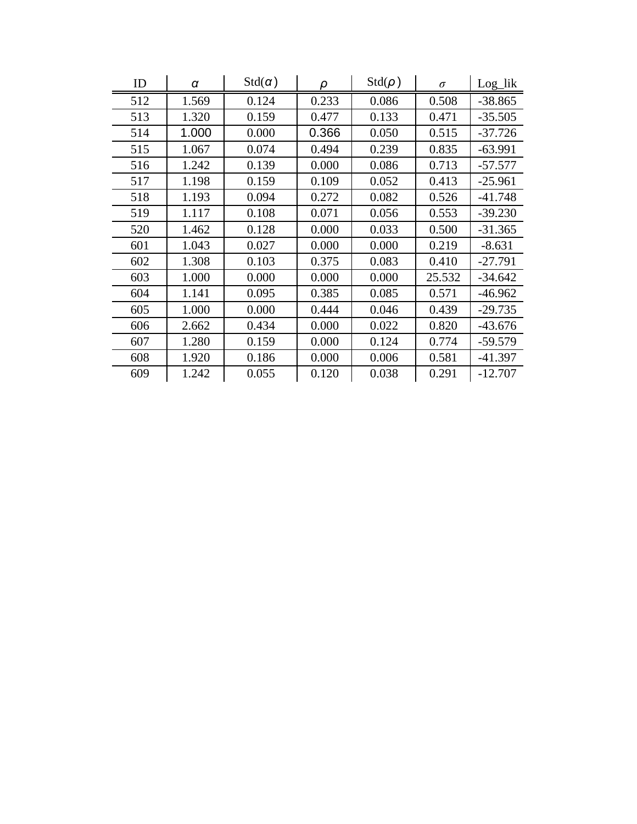| ID  | α     | $Std(\alpha)$ | ρ     | $Std(\rho)$ | $\sigma$ | Log_lik   |
|-----|-------|---------------|-------|-------------|----------|-----------|
| 512 | 1.569 | 0.124         | 0.233 | 0.086       | 0.508    | $-38.865$ |
| 513 | 1.320 | 0.159         | 0.477 | 0.133       | 0.471    | $-35.505$ |
| 514 | 1.000 | 0.000         | 0.366 | 0.050       | 0.515    | $-37.726$ |
| 515 | 1.067 | 0.074         | 0.494 | 0.239       | 0.835    | $-63.991$ |
| 516 | 1.242 | 0.139         | 0.000 | 0.086       | 0.713    | $-57.577$ |
| 517 | 1.198 | 0.159         | 0.109 | 0.052       | 0.413    | $-25.961$ |
| 518 | 1.193 | 0.094         | 0.272 | 0.082       | 0.526    | $-41.748$ |
| 519 | 1.117 | 0.108         | 0.071 | 0.056       | 0.553    | $-39.230$ |
| 520 | 1.462 | 0.128         | 0.000 | 0.033       | 0.500    | $-31.365$ |
| 601 | 1.043 | 0.027         | 0.000 | 0.000       | 0.219    | $-8.631$  |
| 602 | 1.308 | 0.103         | 0.375 | 0.083       | 0.410    | $-27.791$ |
| 603 | 1.000 | 0.000         | 0.000 | 0.000       | 25.532   | $-34.642$ |
| 604 | 1.141 | 0.095         | 0.385 | 0.085       | 0.571    | $-46.962$ |
| 605 | 1.000 | 0.000         | 0.444 | 0.046       | 0.439    | $-29.735$ |
| 606 | 2.662 | 0.434         | 0.000 | 0.022       | 0.820    | $-43.676$ |
| 607 | 1.280 | 0.159         | 0.000 | 0.124       | 0.774    | $-59.579$ |
| 608 | 1.920 | 0.186         | 0.000 | 0.006       | 0.581    | $-41.397$ |
| 609 | 1.242 | 0.055         | 0.120 | 0.038       | 0.291    | $-12.707$ |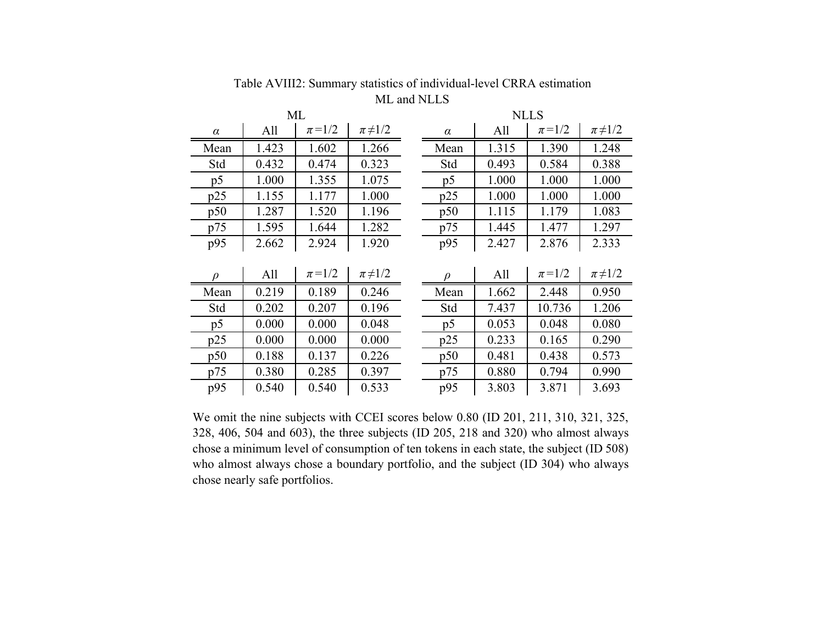| ML             |       |             |               | <b>NLLS</b> |       |             |               |  |
|----------------|-------|-------------|---------------|-------------|-------|-------------|---------------|--|
| $\alpha$       | All   | $\pi = 1/2$ | $\pi\neq 1/2$ | $\alpha$    | All   | $\pi = 1/2$ | $\pi\neq 1/2$ |  |
| Mean           | 1.423 | 1.602       | 1.266         | Mean        | 1.315 | 1.390       | 1.248         |  |
| Std            | 0.432 | 0.474       | 0.323         | Std         | 0.493 | 0.584       | 0.388         |  |
| p <sub>5</sub> | 1.000 | 1.355       | 1.075         | p5          | 1.000 | 1.000       | 1.000         |  |
| p25            | 1.155 | 1.177       | 1.000         | p25         | 1.000 | 1.000       | 1.000         |  |
| p50            | 1.287 | 1.520       | 1.196         | p50         | 1.115 | 1.179       | 1.083         |  |
| p75            | 1.595 | 1.644       | 1.282         | p75         | 1.445 | 1.477       | 1.297         |  |
| p95            | 2.662 | 2.924       | 1.920         | p95         | 2.427 | 2.876       | 2.333         |  |
|                |       |             |               |             |       |             |               |  |
| $\mathcal{D}$  | All   | $\pi = 1/2$ | $\pi\neq 1/2$ |             | All   | $\pi = 1/2$ | $\pi\neq 1/2$ |  |
| Mean           | 0.219 | 0.189       | 0.246         | Mean        | 1.662 | 2.448       | 0.950         |  |
| Std            | 0.202 | 0.207       | 0.196         | Std         | 7.437 | 10.736      | 1.206         |  |
| p <sub>5</sub> | 0.000 | 0.000       | 0.048         | p5          | 0.053 | 0.048       | 0.080         |  |
| p25            | 0.000 | 0.000       | 0.000         | p25         | 0.233 | 0.165       | 0.290         |  |
| p50            | 0.188 | 0.137       | 0.226         | p50         | 0.481 | 0.438       | 0.573         |  |
| p75            | 0.380 | 0.285       | 0.397         | p75         | 0.880 | 0.794       | 0.990         |  |
| p95            | 0.540 | 0.540       | 0.533         | p95         | 3.803 | 3.871       | 3.693         |  |

ML and NLLSTable AVIII2: Summary statistics of individual-level CRRA estimation

We omit the nine subjects with CCEI scores below 0.80 (ID 201, 211, 310, 321, 325, 328, 406, 504 and 603), the three subjects (ID 205, 218 and 320) who almost always chose <sup>a</sup> minimum level of consumption of ten tokens in each state, the subject (ID 508) who almost always chose <sup>a</sup> boundary portfolio, and the subject (ID 304) who always chose nearly safe portfolios.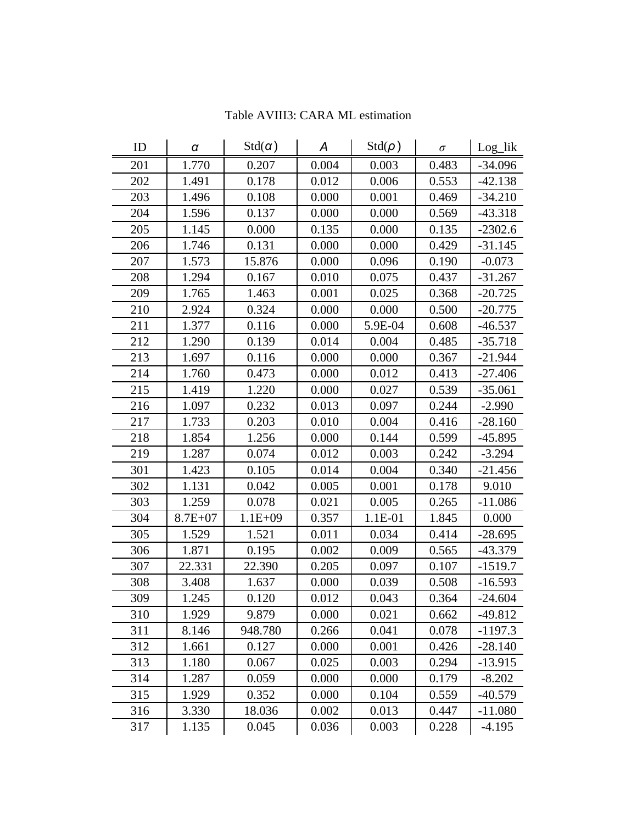| ID  | α           | $Std(\alpha)$                    | A     | $Std(\rho)$ | $\sigma$ | Log_lik   |
|-----|-------------|----------------------------------|-------|-------------|----------|-----------|
| 201 | 1.770       | 0.207                            | 0.004 | 0.003       | 0.483    | $-34.096$ |
| 202 | 1.491       | 0.178                            | 0.012 | 0.006       | 0.553    | $-42.138$ |
| 203 | 1.496       | 0.108                            | 0.000 | 0.001       | 0.469    | $-34.210$ |
| 204 | 1.596       | 0.137                            | 0.000 | 0.000       | 0.569    | $-43.318$ |
| 205 | 1.145       | 0.000                            | 0.135 | 0.000       | 0.135    | $-2302.6$ |
| 206 | 1.746       | 0.000<br>0.131<br>0.000<br>0.429 |       | $-31.145$   |          |           |
| 207 | 1.573       | 15.876                           | 0.000 | 0.096       | 0.190    | $-0.073$  |
| 208 | 1.294       | 0.167                            | 0.010 | 0.075       | 0.437    | $-31.267$ |
| 209 | 1.765       | 1.463                            | 0.001 | 0.025       | 0.368    | $-20.725$ |
| 210 | 2.924       | 0.324                            | 0.000 | 0.000       | 0.500    | $-20.775$ |
| 211 | 1.377       | 0.116                            | 0.000 | 5.9E-04     | 0.608    | $-46.537$ |
| 212 | 1.290       | 0.139                            | 0.014 | 0.004       | 0.485    | $-35.718$ |
| 213 | 1.697       | 0.116                            | 0.000 | 0.000       | 0.367    | $-21.944$ |
| 214 | 1.760       | 0.473                            | 0.000 | 0.012       | 0.413    | $-27.406$ |
| 215 | 1.419       | 1.220                            | 0.000 | 0.027       | 0.539    | $-35.061$ |
| 216 | 1.097       | 0.232                            | 0.013 | 0.097       | 0.244    | $-2.990$  |
| 217 | 1.733       | 0.203                            | 0.010 | 0.004       | 0.416    | $-28.160$ |
| 218 | 1.854       | 1.256                            | 0.000 | 0.144       | 0.599    | $-45.895$ |
| 219 | 1.287       | 0.074                            | 0.012 | 0.003       | 0.242    | $-3.294$  |
| 301 | 1.423       | 0.105                            | 0.014 | 0.004       | 0.340    | $-21.456$ |
| 302 | 1.131       | 0.042                            | 0.005 | 0.001       | 0.178    | 9.010     |
| 303 | 1.259       | 0.078                            | 0.021 | 0.005       | 0.265    | $-11.086$ |
| 304 | $8.7E + 07$ | $1.1E + 09$                      | 0.357 | 1.1E-01     | 1.845    | 0.000     |
| 305 | 1.529       | 1.521                            | 0.011 | 0.034       | 0.414    | $-28.695$ |
| 306 | 1.871       | 0.195                            | 0.002 | 0.009       | 0.565    | $-43.379$ |
| 307 | 22.331      | 22.390                           | 0.205 | 0.097       | 0.107    | $-1519.7$ |
| 308 | 3.408       | 1.637                            | 0.000 | 0.039       | 0.508    | $-16.593$ |
| 309 | 1.245       | 0.120                            | 0.012 | 0.043       | 0.364    | $-24.604$ |
| 310 | 1.929       | 9.879                            | 0.000 | 0.021       | 0.662    | $-49.812$ |
| 311 | 8.146       | 948.780                          | 0.266 | 0.041       | 0.078    | $-1197.3$ |
| 312 | 1.661       | 0.127                            | 0.000 | 0.001       | 0.426    | $-28.140$ |
| 313 | 1.180       | 0.067                            | 0.025 | 0.003       | 0.294    | $-13.915$ |
| 314 | 1.287       | 0.059                            | 0.000 | 0.000       | 0.179    | $-8.202$  |
| 315 | 1.929       | 0.352                            | 0.000 | 0.104       | 0.559    | $-40.579$ |
| 316 | 3.330       | 18.036                           | 0.002 | 0.013       | 0.447    | $-11.080$ |
| 317 | 1.135       | 0.045                            | 0.036 | 0.003       | 0.228    | $-4.195$  |

Table AVIII3: CARA ML estimation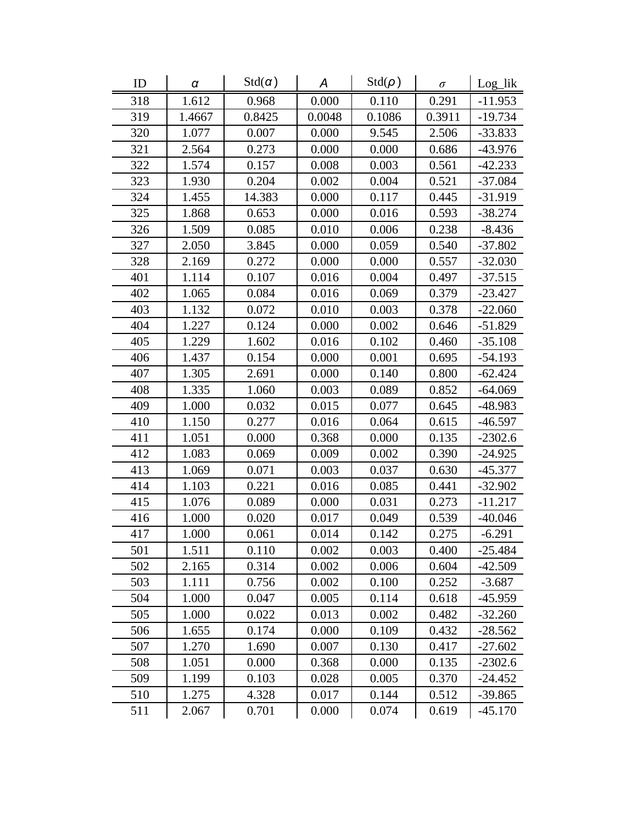| ID  | $\pmb{\alpha}$ | $Std(\alpha)$ | Α      | $Std(\rho)$ | $\sigma$ | $Log_{lik}$ |
|-----|----------------|---------------|--------|-------------|----------|-------------|
| 318 | 1.612          | 0.968         | 0.000  | 0.110       | 0.291    | $-11.953$   |
| 319 | 1.4667         | 0.8425        | 0.0048 | 0.1086      | 0.3911   | $-19.734$   |
| 320 | 1.077          | 0.007         | 0.000  | 9.545       | 2.506    | $-33.833$   |
| 321 | 2.564          | 0.273         | 0.000  | 0.000       | 0.686    | $-43.976$   |
| 322 | 1.574          | 0.157         | 0.008  | 0.003       | 0.561    | $-42.233$   |
| 323 | 1.930          | 0.204         | 0.002  | 0.004       | 0.521    | $-37.084$   |
| 324 | 1.455          | 14.383        | 0.000  | 0.117       | 0.445    | $-31.919$   |
| 325 | 1.868          | 0.653         | 0.000  | 0.016       | 0.593    | $-38.274$   |
| 326 | 1.509          | 0.085         | 0.010  | 0.006       | 0.238    | $-8.436$    |
| 327 | 2.050          | 3.845         | 0.000  | 0.059       | 0.540    | $-37.802$   |
| 328 | 2.169          | 0.272         | 0.000  | 0.000       | 0.557    | $-32.030$   |
| 401 | 1.114          | 0.107         | 0.016  | 0.004       | 0.497    | $-37.515$   |
| 402 | 1.065          | 0.084         | 0.016  | 0.069       | 0.379    | $-23.427$   |
| 403 | 1.132          | 0.072         | 0.010  | 0.003       | 0.378    | $-22.060$   |
| 404 | 1.227          | 0.124         | 0.000  | 0.002       | 0.646    | $-51.829$   |
| 405 | 1.229          | 1.602         | 0.016  | 0.102       | 0.460    | $-35.108$   |
| 406 | 1.437          | 0.154         | 0.000  | 0.001       | 0.695    | $-54.193$   |
| 407 | 1.305          | 2.691         | 0.000  | 0.140       | 0.800    | $-62.424$   |
| 408 | 1.335          | 1.060         | 0.003  | 0.089       | 0.852    | $-64.069$   |
| 409 | 1.000          | 0.032         | 0.015  | 0.077       | 0.645    | -48.983     |
| 410 | 1.150          | 0.277         | 0.016  | 0.064       | 0.615    | $-46.597$   |
| 411 | 1.051          | 0.000         | 0.368  | 0.000       | 0.135    | $-2302.6$   |
| 412 | 1.083          | 0.069         | 0.009  | 0.002       | 0.390    | $-24.925$   |
| 413 | 1.069          | 0.071         | 0.003  | 0.037       | 0.630    | $-45.377$   |
| 414 | 1.103          | 0.221         | 0.016  | 0.085       | 0.441    | $-32.902$   |
| 415 | 1.076          | 0.089         | 0.000  | 0.031       | 0.273    | $-11.217$   |
| 416 | 1.000          | 0.020         | 0.017  | 0.049       | 0.539    | $-40.046$   |
| 417 | 1.000          | 0.061         | 0.014  | 0.142       | 0.275    | $-6.291$    |
| 501 | 1.511          | 0.110         | 0.002  | 0.003       | 0.400    | $-25.484$   |
| 502 | 2.165          | 0.314         | 0.002  | 0.006       | 0.604    | -42.509     |
| 503 | 1.111          | 0.756         | 0.002  | 0.100       | 0.252    | $-3.687$    |
| 504 | 1.000          | 0.047         | 0.005  | 0.114       | 0.618    | -45.959     |
| 505 | 1.000          | 0.022         | 0.013  | 0.002       | 0.482    | $-32.260$   |
| 506 | 1.655          | 0.174         | 0.000  | 0.109       | 0.432    | -28.562     |
| 507 | 1.270          | 1.690         | 0.007  | 0.130       | 0.417    | $-27.602$   |
| 508 | 1.051          | 0.000         | 0.368  | 0.000       | 0.135    | $-2302.6$   |
| 509 | 1.199          | 0.103         | 0.028  | 0.005       | 0.370    | -24.452     |
| 510 | 1.275          | 4.328         | 0.017  | 0.144       | 0.512    | $-39.865$   |
| 511 | 2.067          | 0.701         | 0.000  | 0.074       | 0.619    | $-45.170$   |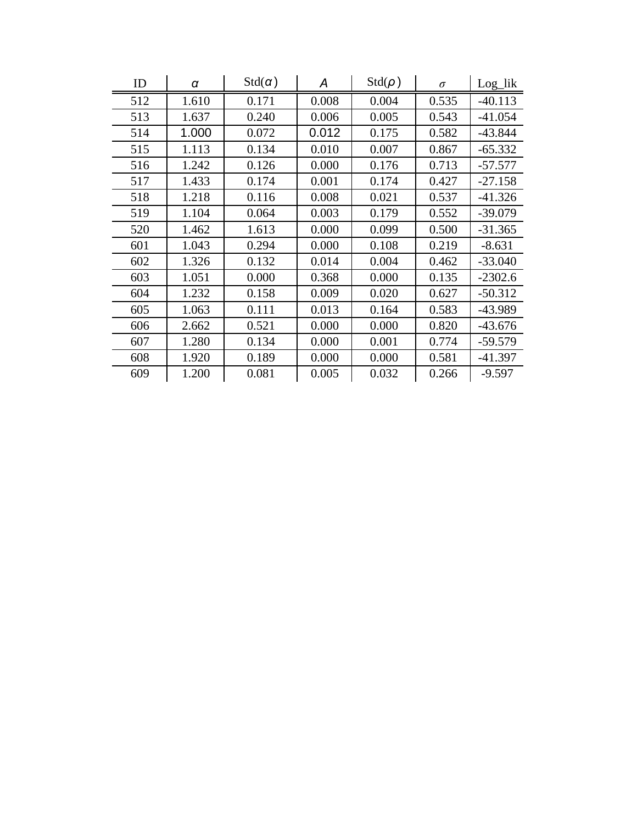| ID  | α     | $Std(\alpha)$ | A     | $Std(\rho)$ | $\sigma$ | Log_lik   |
|-----|-------|---------------|-------|-------------|----------|-----------|
| 512 | 1.610 | 0.171         | 0.008 | 0.004       | 0.535    | $-40.113$ |
| 513 | 1.637 | 0.240         | 0.006 | 0.005       | 0.543    | $-41.054$ |
| 514 | 1.000 | 0.072         | 0.012 | 0.175       | 0.582    | $-43.844$ |
| 515 | 1.113 | 0.134         | 0.010 | 0.007       | 0.867    | $-65.332$ |
| 516 | 1.242 | 0.126         | 0.000 | 0.176       | 0.713    | $-57.577$ |
| 517 | 1.433 | 0.174         | 0.001 | 0.174       | 0.427    | $-27.158$ |
| 518 | 1.218 | 0.116         | 0.008 | 0.021       | 0.537    | $-41.326$ |
| 519 | 1.104 | 0.064         | 0.003 | 0.179       | 0.552    | $-39.079$ |
| 520 | 1.462 | 1.613         | 0.000 | 0.099       | 0.500    | $-31.365$ |
| 601 | 1.043 | 0.294         | 0.000 | 0.108       | 0.219    | $-8.631$  |
| 602 | 1.326 | 0.132         | 0.014 | 0.004       | 0.462    | $-33.040$ |
| 603 | 1.051 | 0.000         | 0.368 | 0.000       | 0.135    | $-2302.6$ |
| 604 | 1.232 | 0.158         | 0.009 | 0.020       | 0.627    | $-50.312$ |
| 605 | 1.063 | 0.111         | 0.013 | 0.164       | 0.583    | -43.989   |
| 606 | 2.662 | 0.521         | 0.000 | 0.000       | 0.820    | $-43.676$ |
| 607 | 1.280 | 0.134         | 0.000 | 0.001       | 0.774    | $-59.579$ |
| 608 | 1.920 | 0.189         | 0.000 | 0.000       | 0.581    | $-41.397$ |
| 609 | 1.200 | 0.081         | 0.005 | 0.032       | 0.266    | $-9.597$  |